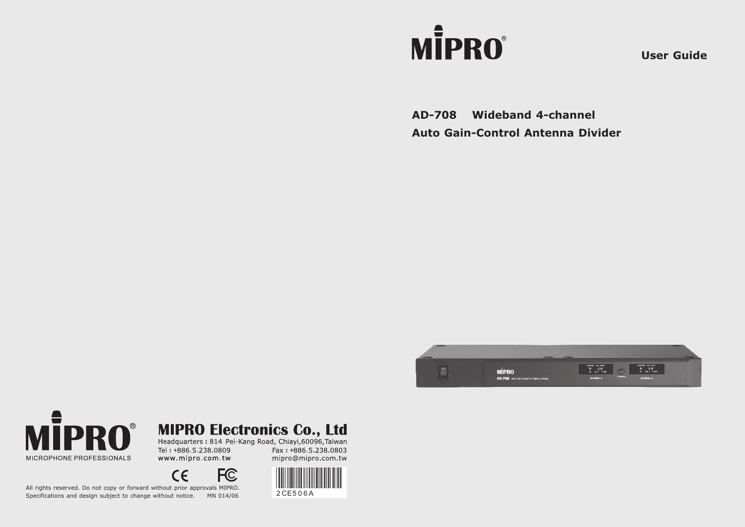# **MİPRO**®

**User Guide**

**AD-708 Wideband 4-channel Auto Gain-Control Antenna Divider**





**MIPRO Electronics Co., Ltd**<br>Headquarters : 814 Pei-Kang Road, Chiayi,60096,Taiwan

Tel: +886.5.238.0809 www.mipro.com.tw Fax: +886.5.238.0803 mipro@mipro.com.tw



All rights reserved. Do not copy or forward without prior approvals MIPRO. Specifications and design subject to change without notice. MN 014/06 2 CE5 0 6 A

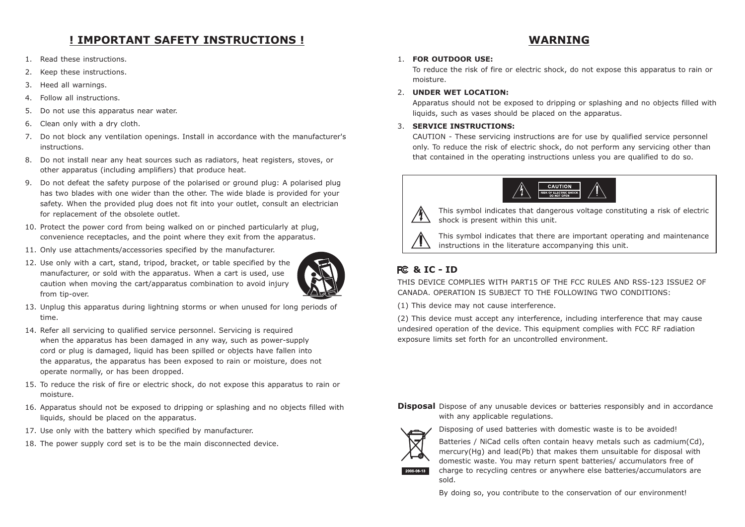# **! IMPORTANT SAFETY INSTRUCTIONS ! WARNING**

- 1. Read these instructions.
- 2. Keep these instructions.
- 3. Heed all warnings.
- 4. Follow all instructions.
- 5. Do not use this apparatus near water.
- 6. Clean only with a dry cloth.
- 7. Do not block any ventilation openings. Install in accordance with the manufacturer's instructions.
- 8. Do not install near any heat sources such as radiators, heat registers, stoves, or other apparatus (including amplifiers) that produce heat.
- 9. Do not defeat the safety purpose of the polarised or ground plug: A polarised plug has two blades with one wider than the other. The wide blade is provided for your safety. When the provided plug does not fit into your outlet, consult an electrician for replacement of the obsolete outlet.
- 10. Protect the power cord from being walked on or pinched particularly at plug, convenience receptacles, and the point where they exit from the apparatus.
- 11. Only use attachments/accessories specified by the manufacturer.
- 12. Use only with a cart, stand, tripod, bracket, or table specified by the manufacturer, or sold with the apparatus. When a cart is used, use caution when moving the cart/apparatus combination to avoid injury from tip-over.



- 13. Unplug this apparatus during lightning storms or when unused for long periods of time.
- 14. Refer all servicing to qualified service personnel. Servicing is required when the apparatus has been damaged in any way, such as power-supply cord or plug is damaged, liquid has been spilled or objects have fallen into the apparatus, the apparatus has been exposed to rain or moisture, does not operate normally, or has been dropped.
- 15. To reduce the risk of fire or electric shock, do not expose this apparatus to rain or moisture.
- 16. Apparatus should not be exposed to dripping or splashing and no objects filled with liquids, should be placed on the apparatus.
- 17. Use only with the battery which specified by manufacturer.
- 18. The power supply cord set is to be the main disconnected device.

#### 1. **FOR OUTDOOR USE:**

To reduce the risk of fire or electric shock, do not expose this apparatus to rain or moisture.

#### 2. **UNDER WET LOCATION:**

Apparatus should not be exposed to dripping or splashing and no objects filled with liquids, such as vases should be placed on the apparatus.

#### 3. **SERVICE INSTRUCTIONS:**

CAUTION - These servicing instructions are for use by qualified service personnel only. To reduce the risk of electric shock, do not perform any servicing other than that contained in the operating instructions unless you are qualified to do so.





This symbol indicates that dangerous voltage constituting a risk of electric shock is present within this unit.

This symbol indicates that there are important operating and maintenance instructions in the literature accompanying this unit.

## **& IC - ID**

THIS DEVICE COMPLIES WITH PART15 OF THE FCC RULES AND RSS-123 ISSUE2 OF CANADA. OPERATION IS SUBJECT TO THE FOLLOWING TWO CONDITIONS:

(1) This device may not cause interference.

(2) This device must accept any interference, including interference that may cause undesired operation of the device. This equipment complies with FCC RF radiation exposure limits set forth for an uncontrolled environment.

#### **Disposal** Dispose of any unusable devices or batteries responsibly and in accordance with any applicable regulations.



Disposing of used batteries with domestic waste is to be avoided!

Batteries / NiCad cells often contain heavy metals such as cadmium(Cd), mercury(Hg) and lead(Pb) that makes them unsuitable for disposal with domestic waste. You may return spent batteries/ accumulators free of charge to recycling centres or anywhere else batteries/accumulators are sold.

By doing so, you contribute to the conservation of our environment!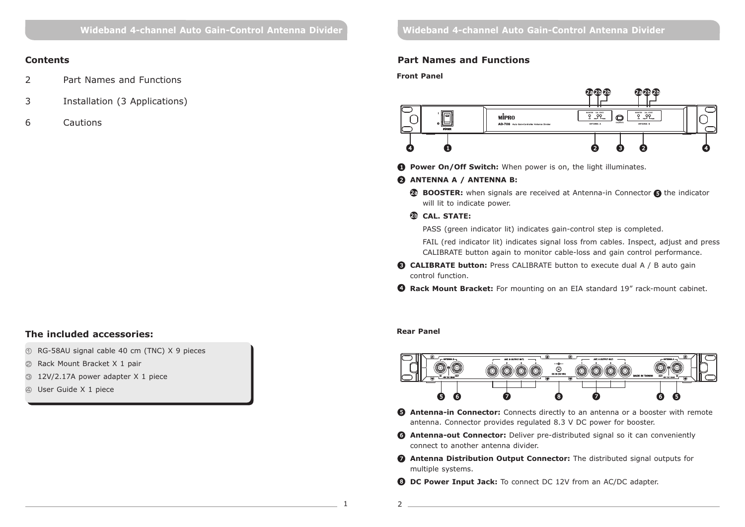#### **Contents**

- 2 Part Names and Functions
- 3 Installation (3 Applications)
- 6 Cautions

### **The included accessories:**

- RG-58AU signal cable 40 cm (TNC) X 9 pieces
- Rack Mount Bracket X 1 pair
- 12V/2.17A power adapter X 1 piece
- User Guide X 1 piece

#### **Part Names and Functions**

**Front Panel**



**D** Power On/Off Switch: When power is on, the light illuminates.

#### **ANTENNA A / ANTENNA B:** 2

**BOOSTER:** when signals are received at Antenna-in Connector **@** the indicator will lit to indicate power.

#### **CAL. STATE:**  2b

PASS (green indicator lit) indicates gain-control step is completed.

FAIL (red indicator lit) indicates signal loss from cables. Inspect, adjust and press CALIBRATE button again to monitor cable-loss and gain control performance.

- **B** CALIBRATE button: Press CALIBRATE button to execute dual A / B auto gain control function.
- **3 Rack Mount Bracket:** For mounting on an EIA standard 19" rack-mount cabinet.

#### **Rear Panel**



- **B Antenna-in Connector:** Connects directly to an antenna or a booster with remote antenna. Connector provides regulated 8.3 V DC power for booster.
- **3 Antenna-out Connector:** Deliver pre-distributed signal so it can conveniently connect to another antenna divider.
- **Antenna Distribution Output Connector:** The distributed signal outputs for 7 multiple systems.
- **DC Power Input Jack:** To connect DC 12V from an AC/DC adapter.
- 1 2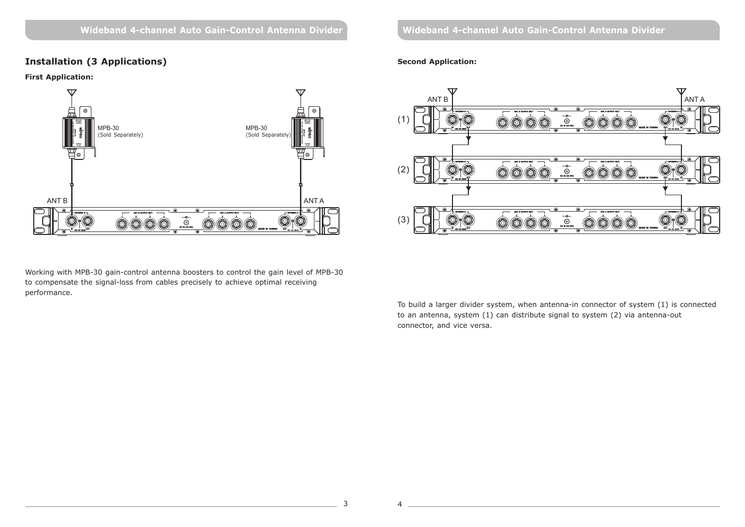#### **Installation (3 Applications)**

#### **First Application:**



Working with MPB-30 gain-control antenna boosters to control the gain level of MPB-30 to compensate the signal-loss from cables precisely to achieve optimal receiving performance.

**Wideband 4-channel Auto Gain-Control Antenna Divider Wideband 4-channel Auto Gain-Control Antenna Divider**

#### **Second Application:**



To build a larger divider system, when antenna-in connector of system (1) is connected to an antenna, system (1) can distribute signal to system (2) via antenna-out connector, and vice versa.